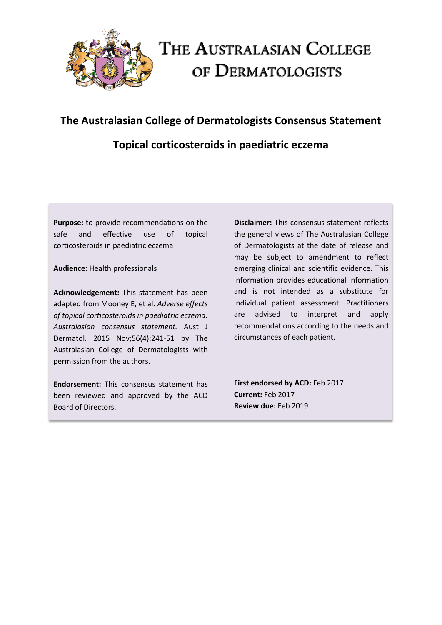

# THE AUSTRALASIAN COLLEGE OF DERMATOLOGISTS

# **The Australasian College of Dermatologists Consensus Statement**

# **Topical corticosteroids in paediatric eczema**

**Purpose:** to provide recommendations on the safe and effective use of topical corticosteroids in paediatric eczema

**Audience:** Health professionals

**Acknowledgement:** This statement has been adapted from Mooney E, et al. *Adverse effects of topical corticosteroids in paediatric eczema: Australasian consensus statement.* Aust J Dermatol. 2015 Nov;56(4):241-51 by The Australasian College of Dermatologists with permission from the authors.

**Endorsement:** This consensus statement has been reviewed and approved by the ACD Board of Directors.

**Disclaimer:** This consensus statement reflects the general views of The Australasian College of Dermatologists at the date of release and may be subject to amendment to reflect emerging clinical and scientific evidence. This information provides educational information and is not intended as a substitute for individual patient assessment. Practitioners are advised to interpret and apply recommendations according to the needs and circumstances of each patient.

**First endorsed by ACD:** Feb 2017 **Current:** Feb 2017 **Review due:** Feb 2019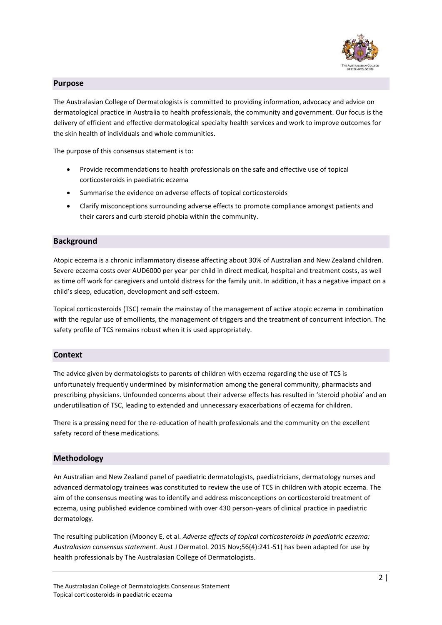

#### **Purpose**

The Australasian College of Dermatologists is committed to providing information, advocacy and advice on dermatological practice in Australia to health professionals, the community and government. Our focus is the delivery of efficient and effective dermatological specialty health services and work to improve outcomes for the skin health of individuals and whole communities.

The purpose of this consensus statement is to:

- Provide recommendations to health professionals on the safe and effective use of topical corticosteroids in paediatric eczema
- Summarise the evidence on adverse effects of topical corticosteroids
- Clarify misconceptions surrounding adverse effects to promote compliance amongst patients and their carers and curb steroid phobia within the community.

## **Background**

Atopic eczema is a chronic inflammatory disease affecting about 30% of Australian and New Zealand children. Severe eczema costs over AUD6000 per year per child in direct medical, hospital and treatment costs, as well as time off work for caregivers and untold distress for the family unit. In addition, it has a negative impact on a child's sleep, education, development and self-esteem.

Topical corticosteroids (TSC) remain the mainstay of the management of active atopic eczema in combination with the regular use of emollients, the management of triggers and the treatment of concurrent infection. The safety profile of TCS remains robust when it is used appropriately.

#### **Context**

The advice given by dermatologists to parents of children with eczema regarding the use of TCS is unfortunately frequently undermined by misinformation among the general community, pharmacists and prescribing physicians. Unfounded concerns about their adverse effects has resulted in 'steroid phobia' and an underutilisation of TSC, leading to extended and unnecessary exacerbations of eczema for children.

There is a pressing need for the re-education of health professionals and the community on the excellent safety record of these medications.

#### **Methodology**

An Australian and New Zealand panel of paediatric dermatologists, paediatricians, dermatology nurses and advanced dermatology trainees was constituted to review the use of TCS in children with atopic eczema. The aim of the consensus meeting was to identify and address misconceptions on corticosteroid treatment of eczema, using published evidence combined with over 430 person-years of clinical practice in paediatric dermatology.

The resulting publication (Mooney E, et al. *Adverse effects of topical corticosteroids in paediatric eczema: Australasian consensus statement*. Aust J Dermatol. 2015 Nov;56(4):241-51) has been adapted for use by health professionals by The Australasian College of Dermatologists.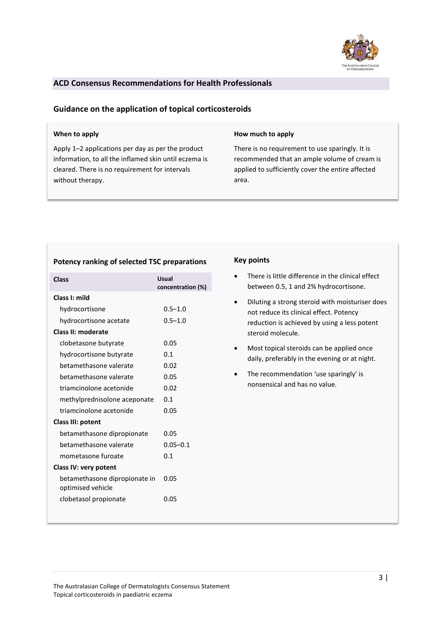

# **ACD Consensus Recommendations for Health Professionals**

# **Guidance on the application of topical corticosteroids**

#### **When to apply**

Apply 1–2 applications per day as per the product information, to all the inflamed skin until eczema is cleared. There is no requirement for intervals without therapy.

#### **How much to apply**

There is no requirement to use sparingly. It is recommended that an ample volume of cream is applied to sufficiently cover the entire affected area.

#### **Potency ranking of selected TSC preparations**

| Class                                              | Usual<br>concentration (%) |
|----------------------------------------------------|----------------------------|
| Class I: mild                                      |                            |
| hydrocortisone                                     | $0.5 - 1.0$                |
| hydrocortisone acetate                             | $0.5 - 1.0$                |
| Class II: moderate                                 |                            |
| clobetasone butyrate                               | 0.05                       |
| hydrocortisone butyrate                            | 0.1                        |
| betamethasone valerate                             | 0.02                       |
| betamethasone valerate                             | 0.05                       |
| triamcinolone acetonide                            | 0.02                       |
| methylprednisolone aceponate                       | 0.1                        |
| triamcinolone acetonide                            | 0.05                       |
| Class III: potent                                  |                            |
| betamethasone dipropionate                         | 0.05                       |
| betamethasone valerate                             | $0.05 - 0.1$               |
| mometasone furoate                                 | 0.1                        |
| Class IV: very potent                              |                            |
| betamethasone dipropionate in<br>optimised vehicle | 0.05                       |
| clobetasol propionate                              | 0.05                       |

#### **Key points**

- There is little difference in the clinical effect between 0.5, 1 and 2% hydrocortisone.
- Diluting a strong steroid with moisturiser does not reduce its clinical effect. Potency reduction is achieved by using a less potent steroid molecule.
- Most topical steroids can be applied once daily, preferably in the evening or at night.
- The recommendation 'use sparingly' is nonsensical and has no value.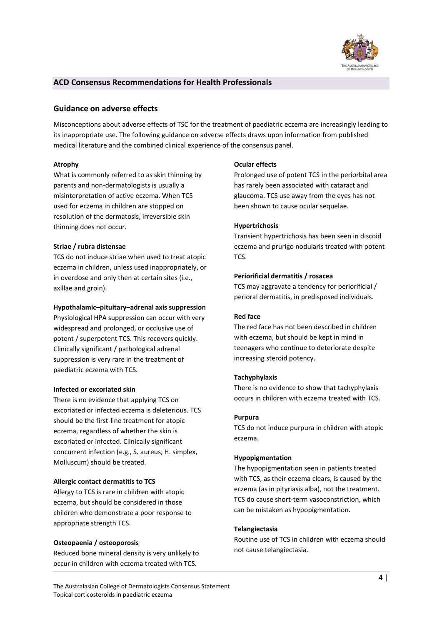

### **ACD Consensus Recommendations for Health Professionals**

## **Guidance on adverse effects**

Misconceptions about adverse effects of TSC for the treatment of paediatric eczema are increasingly leading to its inappropriate use. The following guidance on adverse effects draws upon information from published medical literature and the combined clinical experience of the consensus panel.

#### **Atrophy**

What is commonly referred to as skin thinning by parents and non-dermatologists is usually a misinterpretation of active eczema. When TCS used for eczema in children are stopped on resolution of the dermatosis, irreversible skin thinning does not occur.

#### **Striae / rubra distensae**

TCS do not induce striae when used to treat atopic eczema in children, unless used inappropriately, or in overdose and only then at certain sites (i.e., axillae and groin).

#### **Hypothalamic–pituitary–adrenal axis suppression**

Physiological HPA suppression can occur with very widespread and prolonged, or occlusive use of potent / superpotent TCS. This recovers quickly. Clinically significant / pathological adrenal suppression is very rare in the treatment of paediatric eczema with TCS.

#### **Infected or excoriated skin**

There is no evidence that applying TCS on excoriated or infected eczema is deleterious. TCS should be the first-line treatment for atopic eczema, regardless of whether the skin is excoriated or infected. Clinically significant concurrent infection (e.g., S. aureus, H. simplex, Molluscum) should be treated.

#### **Allergic contact dermatitis to TCS**

Allergy to TCS is rare in children with atopic eczema, but should be considered in those children who demonstrate a poor response to appropriate strength TCS.

#### **Osteopaenia / osteoporosis**

Reduced bone mineral density is very unlikely to occur in children with eczema treated with TCS.

#### **Ocular effects**

Prolonged use of potent TCS in the periorbital area has rarely been associated with cataract and glaucoma. TCS use away from the eyes has not been shown to cause ocular sequelae.

#### **Hypertrichosis**

Transient hypertrichosis has been seen in discoid eczema and prurigo nodularis treated with potent TCS.

#### **Periorificial dermatitis / rosacea**

TCS may aggravate a tendency for periorificial / perioral dermatitis, in predisposed individuals.

#### **Red face**

The red face has not been described in children with eczema, but should be kept in mind in teenagers who continue to deteriorate despite increasing steroid potency.

#### **Tachyphylaxis**

There is no evidence to show that tachyphylaxis occurs in children with eczema treated with TCS.

#### **Purpura**

TCS do not induce purpura in children with atopic eczema.

#### **Hypopigmentation**

The hypopigmentation seen in patients treated with TCS, as their eczema clears, is caused by the eczema (as in pityriasis alba), not the treatment. TCS do cause short-term vasoconstriction, which can be mistaken as hypopigmentation.

#### **Telangiectasia**

Routine use of TCS in children with eczema should not cause telangiectasia.